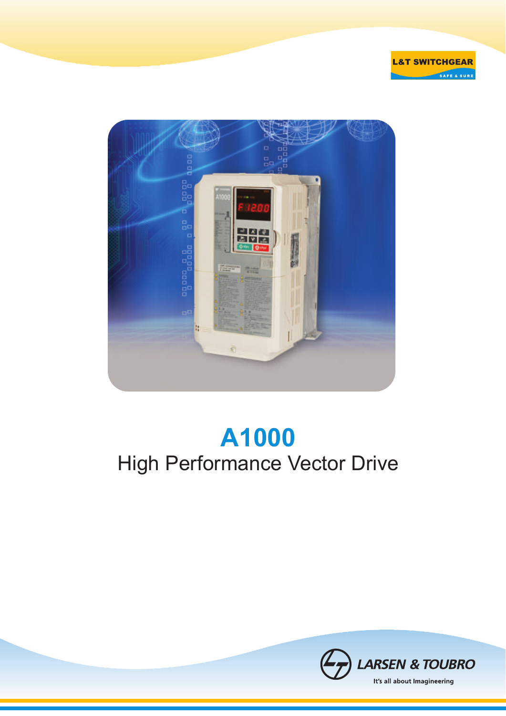



# **A1000** High Performance Vector Drive

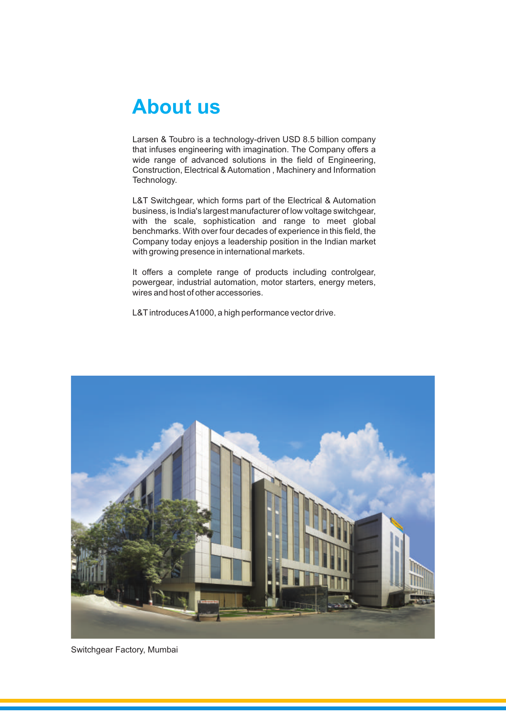### **About us**

Larsen & Toubro is a technology-driven USD 8.5 billion company that infuses engineering with imagination. The Company offers a wide range of advanced solutions in the field of Engineering, Construction, Electrical & Automation , Machinery and Information Technology.

L&T Switchgear, which forms part of the Electrical & Automation business, is India's largest manufacturer of low voltage switchgear, with the scale, sophistication and range to meet global benchmarks. With over four decades of experience in this field, the Company today enjoys a leadership position in the Indian market with growing presence in international markets.

It offers a complete range of products including controlgear, powergear, industrial automation, motor starters, energy meters, wires and host of other accessories.

L&T introduces A1000, a high performance vector drive.



Switchgear Factory, Mumbai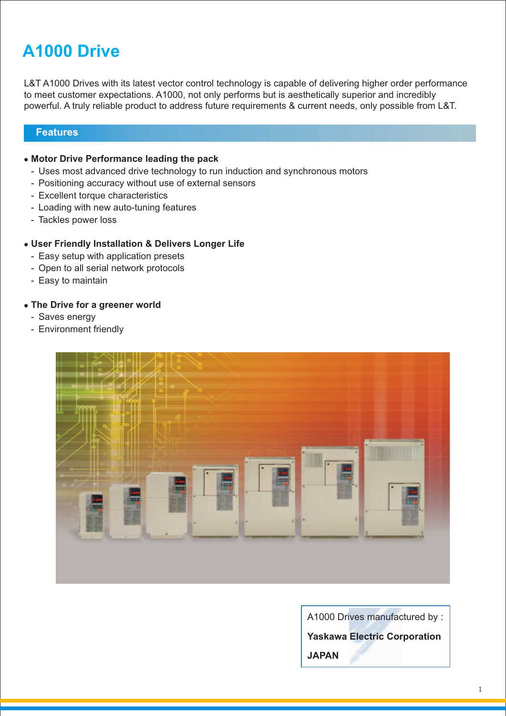### **A1000 Drive**

L&T A1000 Drives with its latest vector control technology is capable of delivering higher order performance to meet customer expectations. A1000, not only performs but is aesthetically superior and incredibly powerful. A truly reliable product to address future requirements & current needs, only possible from L&T.

### **Features**

- **Motor Drive Performance leading the pack** l
	- Uses most advanced drive technology to run induction and synchronous motors
	- Positioning accuracy without use of external sensors
	- Excellent torque characteristics
	- Loading with new auto-tuning features
	- Tackles power loss

### $\bullet$  **User Friendly Installation & Delivers Longer Life**

- Easy setup with application presets
- Open to all serial network protocols
- Easy to maintain

### **• The Drive for a greener world**

- Saves energy
- Environment friendly



A1000 Drives manufactured by :

**Yaskawa Electric Corporation** 

**JAPAN**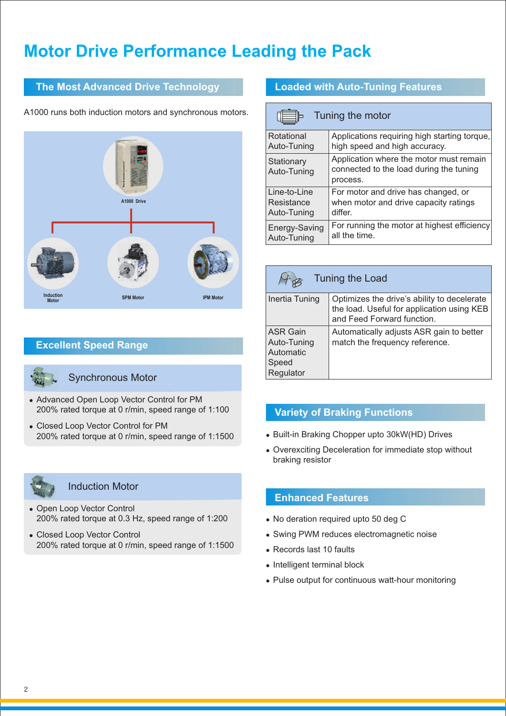### **Motor Drive Performance Leading the Pack**

### **The Most Advanced Drive Technology**

A1000 runs both induction motors and synchronous motors.



### **Excellent Speed Range**



#### Synchronous Motor

- Advanced Open Loop Vector Control for PM 200% rated torque at 0 r/min, speed range of 1:100
- Closed Loop Vector Control for PM 200% rated torque at 0 r/min, speed range of 1:1500



#### Induction Motor

- Open Loop Vector Control 200% rated torque at 0.3 Hz, speed range of 1:200
- Closed Loop Vector Control 200% rated torque at 0 r/min, speed range of 1:1500

### **Loaded with Auto-Tuning Features**

| Tuning the motor          |                                                                                                |  |  |  |  |  |  |  |  |
|---------------------------|------------------------------------------------------------------------------------------------|--|--|--|--|--|--|--|--|
| Rotational                | Applications requiring high starting torque,                                                   |  |  |  |  |  |  |  |  |
| Auto-Tuning               | high speed and high accuracy.                                                                  |  |  |  |  |  |  |  |  |
| Stationary<br>Auto-Tuning | Application where the motor must remain<br>connected to the load during the tuning<br>process. |  |  |  |  |  |  |  |  |
| Line-to-Line              | For motor and drive has changed, or                                                            |  |  |  |  |  |  |  |  |
| Resistance                | when motor and drive capacity ratings                                                          |  |  |  |  |  |  |  |  |
| Auto-Tuning               | differ.                                                                                        |  |  |  |  |  |  |  |  |
| Energy-Saving             | For running the motor at highest efficiency                                                    |  |  |  |  |  |  |  |  |
| Auto-Tuning               | all the time.                                                                                  |  |  |  |  |  |  |  |  |

| Tuning the Load                                                   |                                                                                                                         |  |  |  |  |  |  |  |  |
|-------------------------------------------------------------------|-------------------------------------------------------------------------------------------------------------------------|--|--|--|--|--|--|--|--|
| Inertia Tuning                                                    | Optimizes the drive's ability to decelerate<br>the load. Useful for application using KEB<br>and Feed Forward function. |  |  |  |  |  |  |  |  |
| <b>ASR Gain</b><br>Auto-Tuning<br>Automatic<br>Speed<br>Regulator | Automatically adjusts ASR gain to better<br>match the frequency reference.                                              |  |  |  |  |  |  |  |  |

### **Variety of Braking Functions**

- Built-in Braking Chopper upto 30kW(HD) Drives
- Overexciting Deceleration for immediate stop without braking resistor

### **Enhanced Features**

- No deration required upto 50 deg C
- Swing PWM reduces electromagnetic noise
- $\bullet$  Records last 10 faults
- $\bullet$  Intelligent terminal block
- Pulse output for continuous watt-hour monitoring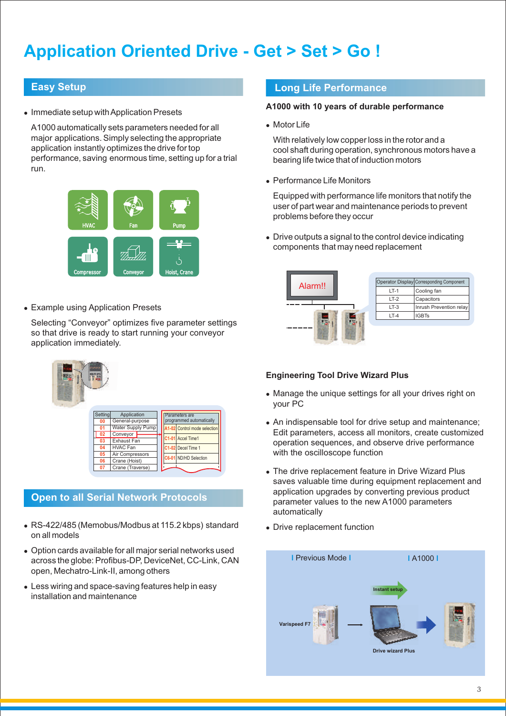### **Application Oriented Drive - Get > Set > Go !**

### **Easy Setup**

• Immediate setup with Application Presets

A1000 automatically sets parameters needed for all major applications. Simply selecting the appropriate application instantly optimizes the drive for top performance, saving enormous time, setting up for a trial run.



• Example using Application Presets

Selecting "Conveyor" optimizes five parameter settings so that drive is ready to start running your conveyor application immediately.

| Setting | Application              | Parameters are               |  |
|---------|--------------------------|------------------------------|--|
| 00      | General-purpose          | programmed automatically     |  |
|         | <b>Water Supply Pump</b> | A1-02 Control mode selection |  |
| 02      | Conveyor                 | C1-01 Accel Time1            |  |
| 03      | Exhaust Fan              |                              |  |
| 04      | <b>HVAC Fan</b>          | C1-02 Decel Time 1           |  |
| 05      | Air Compressors          | C6-01 ND/HD Selection        |  |
| 06      | Crane (Hoist)            |                              |  |
| 07      | Crane (Traverse)         |                              |  |

### **Open to all Serial Network Protocols**

- RS-422/485 (Memobus/Modbus at 115.2 kbps) standard on all models
- Option cards available for all major serial networks used across the globe: Profibus-DP, DeviceNet, CC-Link, CAN open, Mechatro-Link-II, among others
- Less wiring and space-saving features help in easy installation and maintenance

### **Long Life Performance**

#### **A1000 with 10 years of durable performance**

• Motor Life

With relatively low copper loss in the rotor and a cool shaft during operation, synchronous motors have a bearing life twice that of induction motors

• Performance Life Monitors

Equipped with performance life monitors that notify the user of part wear and maintenance periods to prevent problems before they occur

 $\bullet$  Drive outputs a signal to the control device indicating components that may need replacement



### **Engineering Tool Drive Wizard Plus**

- Manage the unique settings for all your drives right on your PC
- An indispensable tool for drive setup and maintenance; Edit parameters, access all monitors, create customized operation sequences, and observe drive performance with the oscilloscope function
- The drive replacement feature in Drive Wizard Plus saves valuable time during equipment replacement and application upgrades by converting previous product parameter values to the new A1000 parameters automatically
- Drive replacement function

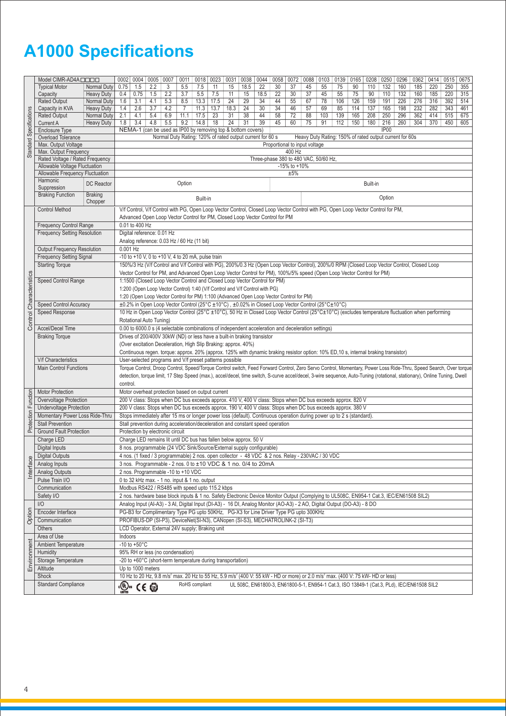## **A1000 Specifications**

|                                                                                                 | Model CIMR-AD4A                                          |                   |          | 0002   0004                                                                                                                                                                                                                                                                                                                                   | 0005                       | 0007                                                                                                                                                               |                |                | 0011   0018   0023 | 0031 | 0038 | 0044 | 0058 | 0072                                            | 0088 | 0103 | 0139 0165                                               |     | 0208     | 0250             | 0296 | 0362 0414                                                                                  |     | 0515 | 0675 |  |  |
|-------------------------------------------------------------------------------------------------|----------------------------------------------------------|-------------------|----------|-----------------------------------------------------------------------------------------------------------------------------------------------------------------------------------------------------------------------------------------------------------------------------------------------------------------------------------------------|----------------------------|--------------------------------------------------------------------------------------------------------------------------------------------------------------------|----------------|----------------|--------------------|------|------|------|------|-------------------------------------------------|------|------|---------------------------------------------------------|-----|----------|------------------|------|--------------------------------------------------------------------------------------------|-----|------|------|--|--|
|                                                                                                 | <b>Typical Motor</b>                                     | Normal Duty       | 0.75     | 1.5                                                                                                                                                                                                                                                                                                                                           | 2.2                        | 3                                                                                                                                                                  | 5.5            | 7.5            | 11                 | 15   | 18.5 | 22   | 30   | 37                                              | 45   | 55   | 75                                                      | 90  | 110      | 132              | 160  | 185                                                                                        | 220 | 250  | 355  |  |  |
|                                                                                                 | Capacity                                                 | <b>Heavy Duty</b> | 0.4      | 0.75                                                                                                                                                                                                                                                                                                                                          | 1.5                        | 2.2                                                                                                                                                                | 3.7            | 5.5            | 7.5                | 11   | 15   | 18.5 | 22   | 30                                              | 37   | 45   | 55                                                      | 75  | 90       | 110              | 132  | 160                                                                                        | 185 | 220  | 315  |  |  |
|                                                                                                 | <b>Rated Output</b>                                      | Normal Duty       | 1.6      | 3.1                                                                                                                                                                                                                                                                                                                                           | 4.1                        | 5.3                                                                                                                                                                | 8.5            | 13.3           | 17.5               | 24   | 29   | 34   | 44   | 55                                              | 67   | 78   | 106                                                     | 126 | 159      | 191              | 226  | 276                                                                                        | 316 | 392  | 514  |  |  |
|                                                                                                 | Capacity in KVA                                          | <b>Heavy Duty</b> | 1.4      | 2.6                                                                                                                                                                                                                                                                                                                                           | 3.7                        | 4.2                                                                                                                                                                | $\overline{7}$ | 11.3           | 13.7               | 18.3 | 24   | 30   | 34   | 46                                              | 57   | 69   | 85                                                      | 114 | 137      | 165              | 198  | 232                                                                                        | 282 | 343  | 461  |  |  |
|                                                                                                 | Rated Output                                             | Normal Duty       | 2.1      | 4.1                                                                                                                                                                                                                                                                                                                                           | 5.4                        | 6.9                                                                                                                                                                | 11.1           | 17.5           | 23                 | 31   | 38   | 44   | 58   | 72                                              | 88   | 103  | 139                                                     | 165 | 208      | 250              | 296  | 362                                                                                        | 414 | 515  | 675  |  |  |
| <b>Standard Specifications</b>                                                                  | <b>Current A</b>                                         | <b>Heavy Duty</b> | 1.8      | 3.4<br>4.8<br>5.5<br>9.2<br>14.8<br>18<br>24<br>31<br>39<br>45<br>60<br>75<br>91<br>112<br>150<br>180<br>216<br>260<br>304<br>370<br>450<br>NEMA-1 (can be used as IP00 by removing top & bottom covers)                                                                                                                                      |                            |                                                                                                                                                                    |                |                |                    |      |      |      |      |                                                 |      |      | 605                                                     |     |          |                  |      |                                                                                            |     |      |      |  |  |
|                                                                                                 | Enclosure Type                                           |                   |          |                                                                                                                                                                                                                                                                                                                                               |                            |                                                                                                                                                                    |                |                |                    |      |      |      |      |                                                 |      |      |                                                         |     |          | IP <sub>00</sub> |      |                                                                                            |     |      |      |  |  |
|                                                                                                 | Overload Tolerance                                       |                   |          |                                                                                                                                                                                                                                                                                                                                               |                            | Normal Duty Rating: 120% of rated output current for 60 s                                                                                                          |                |                |                    |      |      |      |      |                                                 |      |      | Heavy Duty Rating: 150% of rated output current for 60s |     |          |                  |      |                                                                                            |     |      |      |  |  |
|                                                                                                 | Max. Output Voltage                                      |                   |          |                                                                                                                                                                                                                                                                                                                                               |                            |                                                                                                                                                                    |                |                |                    |      |      |      |      | Proportional to input voltage                   |      |      |                                                         |     |          |                  |      |                                                                                            |     |      |      |  |  |
|                                                                                                 | Max. Output Frequency<br>Rated Voltage / Rated Frequency |                   |          |                                                                                                                                                                                                                                                                                                                                               |                            |                                                                                                                                                                    |                |                |                    |      |      |      |      | 400 Hz<br>Three-phase 380 to 480 VAC, 50/60 Hz, |      |      |                                                         |     |          |                  |      |                                                                                            |     |      |      |  |  |
|                                                                                                 | Allowable Voltage Fluctuation                            |                   |          |                                                                                                                                                                                                                                                                                                                                               |                            |                                                                                                                                                                    |                |                |                    |      |      |      |      | -15% to +10%                                    |      |      |                                                         |     |          |                  |      |                                                                                            |     |      |      |  |  |
|                                                                                                 | Allowable Frequency Fluctuation                          |                   |          |                                                                                                                                                                                                                                                                                                                                               |                            |                                                                                                                                                                    |                |                |                    |      |      |      |      | ±5%                                             |      |      |                                                         |     |          |                  |      |                                                                                            |     |      |      |  |  |
|                                                                                                 | Harmonic                                                 |                   |          |                                                                                                                                                                                                                                                                                                                                               |                            |                                                                                                                                                                    |                |                |                    |      |      |      |      |                                                 |      |      |                                                         |     |          |                  |      |                                                                                            |     |      |      |  |  |
|                                                                                                 | Suppression                                              | <b>DC</b> Reactor |          |                                                                                                                                                                                                                                                                                                                                               |                            |                                                                                                                                                                    | Option         |                |                    |      |      |      |      |                                                 |      |      |                                                         |     | Built-in |                  |      |                                                                                            |     |      |      |  |  |
|                                                                                                 | <b>Braking Function</b>                                  | <b>Braking</b>    |          |                                                                                                                                                                                                                                                                                                                                               |                            |                                                                                                                                                                    |                | Built-in       |                    |      |      |      |      |                                                 |      |      |                                                         |     |          | Option           |      |                                                                                            |     |      |      |  |  |
|                                                                                                 |                                                          | Chopper           |          |                                                                                                                                                                                                                                                                                                                                               |                            |                                                                                                                                                                    |                |                |                    |      |      |      |      |                                                 |      |      |                                                         |     |          |                  |      |                                                                                            |     |      |      |  |  |
|                                                                                                 | <b>Control Method</b>                                    |                   |          |                                                                                                                                                                                                                                                                                                                                               |                            | V/f Control, V/f Control with PG, Open Loop Vector Control, Closed Loop Vector Control with PG, Open Loop Vector Control for PM,                                   |                |                |                    |      |      |      |      |                                                 |      |      |                                                         |     |          |                  |      |                                                                                            |     |      |      |  |  |
|                                                                                                 |                                                          |                   |          |                                                                                                                                                                                                                                                                                                                                               |                            | Advanced Open Loop Vector Control for PM, Closed Loop Vector Control for PM                                                                                        |                |                |                    |      |      |      |      |                                                 |      |      |                                                         |     |          |                  |      |                                                                                            |     |      |      |  |  |
|                                                                                                 | <b>Frequency Control Range</b>                           |                   |          | 0.01 to 400 Hz                                                                                                                                                                                                                                                                                                                                |                            |                                                                                                                                                                    |                |                |                    |      |      |      |      |                                                 |      |      |                                                         |     |          |                  |      |                                                                                            |     |      |      |  |  |
|                                                                                                 | <b>Frequency Setting Resolution</b>                      |                   |          |                                                                                                                                                                                                                                                                                                                                               | Digital reference: 0.01 Hz |                                                                                                                                                                    |                |                |                    |      |      |      |      |                                                 |      |      |                                                         |     |          |                  |      |                                                                                            |     |      |      |  |  |
|                                                                                                 |                                                          |                   |          |                                                                                                                                                                                                                                                                                                                                               |                            | Analog reference: 0.03 Hz / 60 Hz (11 bit)                                                                                                                         |                |                |                    |      |      |      |      |                                                 |      |      |                                                         |     |          |                  |      |                                                                                            |     |      |      |  |  |
|                                                                                                 | Output Frequency Resolution                              |                   | 0.001 Hz |                                                                                                                                                                                                                                                                                                                                               |                            |                                                                                                                                                                    |                |                |                    |      |      |      |      |                                                 |      |      |                                                         |     |          |                  |      |                                                                                            |     |      |      |  |  |
|                                                                                                 | <b>Frequency Setting Signal</b>                          |                   |          |                                                                                                                                                                                                                                                                                                                                               |                            | -10 to +10 V, 0 to +10 V, 4 to 20 mA, pulse train                                                                                                                  |                |                |                    |      |      |      |      |                                                 |      |      |                                                         |     |          |                  |      |                                                                                            |     |      |      |  |  |
|                                                                                                 | <b>Starting Torque</b>                                   |                   |          |                                                                                                                                                                                                                                                                                                                                               |                            | 150%/3 Hz (V/f Control and V/f Control with PG), 200%/0.3 Hz (Open Loop Vector Control), 200%/0 RPM (Closed Loop Vector Control, Closed Loop                       |                |                |                    |      |      |      |      |                                                 |      |      |                                                         |     |          |                  |      |                                                                                            |     |      |      |  |  |
|                                                                                                 |                                                          |                   |          |                                                                                                                                                                                                                                                                                                                                               |                            | Vector Control for PM, and Advanced Open Loop Vector Control for PM), 100%/5% speed (Open Loop Vector Control for PM)                                              |                |                |                    |      |      |      |      |                                                 |      |      |                                                         |     |          |                  |      |                                                                                            |     |      |      |  |  |
|                                                                                                 | Speed Control Range                                      |                   |          |                                                                                                                                                                                                                                                                                                                                               |                            | 1:1500 (Closed Loop Vector Control and Closed Loop Vector Control for PM)                                                                                          |                |                |                    |      |      |      |      |                                                 |      |      |                                                         |     |          |                  |      |                                                                                            |     |      |      |  |  |
|                                                                                                 |                                                          |                   |          |                                                                                                                                                                                                                                                                                                                                               |                            | 1:200 (Open Loop Vector Control) 1:40 (V/f Control and V/f Control with PG)                                                                                        |                |                |                    |      |      |      |      |                                                 |      |      |                                                         |     |          |                  |      |                                                                                            |     |      |      |  |  |
|                                                                                                 |                                                          |                   |          |                                                                                                                                                                                                                                                                                                                                               |                            | 1:20 (Open Loop Vector Control for PM) 1:100 (Advanced Open Loop Vector Control for PM)                                                                            |                |                |                    |      |      |      |      |                                                 |      |      |                                                         |     |          |                  |      |                                                                                            |     |      |      |  |  |
|                                                                                                 | <b>Speed Control Accuracy</b>                            |                   |          |                                                                                                                                                                                                                                                                                                                                               |                            | ±0.2% in Open Loop Vector Control (25°C ±10°C), ±0.02% in Closed Loop Vector Control (25°C±10°C)                                                                   |                |                |                    |      |      |      |      |                                                 |      |      |                                                         |     |          |                  |      |                                                                                            |     |      |      |  |  |
| Control Characteristics                                                                         | <b>Speed Response</b>                                    |                   |          | 10 Hz in Open Loop Vector Control (25°C ±10°C), 50 Hz in Closed Loop Vector Control (25°C±10°C) (excludes temperature fluctuation when performing                                                                                                                                                                                             |                            |                                                                                                                                                                    |                |                |                    |      |      |      |      |                                                 |      |      |                                                         |     |          |                  |      |                                                                                            |     |      |      |  |  |
|                                                                                                 |                                                          |                   |          | Rotational Auto Tuning)                                                                                                                                                                                                                                                                                                                       |                            |                                                                                                                                                                    |                |                |                    |      |      |      |      |                                                 |      |      |                                                         |     |          |                  |      |                                                                                            |     |      |      |  |  |
|                                                                                                 | Accel/Decel Time                                         |                   |          | 0.00 to 6000.0 s (4 selectable combinations of independent acceleration and deceleration settings)                                                                                                                                                                                                                                            |                            |                                                                                                                                                                    |                |                |                    |      |      |      |      |                                                 |      |      |                                                         |     |          |                  |      |                                                                                            |     |      |      |  |  |
|                                                                                                 | <b>Braking Torque</b>                                    |                   |          | Drives of 200/400V 30kW (ND) or less have a built-in braking transistor                                                                                                                                                                                                                                                                       |                            |                                                                                                                                                                    |                |                |                    |      |      |      |      |                                                 |      |      |                                                         |     |          |                  |      |                                                                                            |     |      |      |  |  |
|                                                                                                 |                                                          |                   |          | (Over excitation Deceleration, High Slip Braking: approx. 40%)<br>Continuous regen. torque: approx. 20% (approx. 125% with dynamic braking resistor option: 10% ED,10 s, internal braking transistor)                                                                                                                                         |                            |                                                                                                                                                                    |                |                |                    |      |      |      |      |                                                 |      |      |                                                         |     |          |                  |      |                                                                                            |     |      |      |  |  |
|                                                                                                 | <b>V/f Characteristics</b>                               |                   |          |                                                                                                                                                                                                                                                                                                                                               |                            | User-selected programs and V/f preset patterns possible                                                                                                            |                |                |                    |      |      |      |      |                                                 |      |      |                                                         |     |          |                  |      |                                                                                            |     |      |      |  |  |
|                                                                                                 | <b>Main Control Functions</b>                            |                   |          |                                                                                                                                                                                                                                                                                                                                               |                            |                                                                                                                                                                    |                |                |                    |      |      |      |      |                                                 |      |      |                                                         |     |          |                  |      |                                                                                            |     |      |      |  |  |
|                                                                                                 |                                                          |                   |          | Torque Control, Droop Control, Speed/Torque Control switch, Feed Forward Control, Zero Servo Control, Momentary, Power Loss Ride-Thru, Speed Search, Over torque<br>detection, torque limit, 17 Step Speed (max.), accel/decel, time switch, S-curve accel/decel, 3-wire sequence, Auto-Tuning (rotational, stationary), Online Tuning, Dwell |                            |                                                                                                                                                                    |                |                |                    |      |      |      |      |                                                 |      |      |                                                         |     |          |                  |      |                                                                                            |     |      |      |  |  |
|                                                                                                 |                                                          |                   | control. |                                                                                                                                                                                                                                                                                                                                               |                            |                                                                                                                                                                    |                |                |                    |      |      |      |      |                                                 |      |      |                                                         |     |          |                  |      |                                                                                            |     |      |      |  |  |
|                                                                                                 | <b>Motor Protection</b>                                  |                   |          |                                                                                                                                                                                                                                                                                                                                               |                            | Motor overheat protection based on output current                                                                                                                  |                |                |                    |      |      |      |      |                                                 |      |      |                                                         |     |          |                  |      |                                                                                            |     |      |      |  |  |
|                                                                                                 | Overvoltage Protection                                   |                   |          |                                                                                                                                                                                                                                                                                                                                               |                            | 200 V class: Stops when DC bus exceeds approx. 410 V, 400 V class: Stops when DC bus exceeds approx. 820 V                                                         |                |                |                    |      |      |      |      |                                                 |      |      |                                                         |     |          |                  |      |                                                                                            |     |      |      |  |  |
|                                                                                                 | <b>Undervoltage Protection</b>                           |                   |          |                                                                                                                                                                                                                                                                                                                                               |                            | 200 V class: Stops when DC bus exceeds approx. 190 V, 400 V class: Stops when DC bus exceeds approx. 380 V                                                         |                |                |                    |      |      |      |      |                                                 |      |      |                                                         |     |          |                  |      |                                                                                            |     |      |      |  |  |
|                                                                                                 | Momentary Power Loss Ride-Thru                           |                   |          |                                                                                                                                                                                                                                                                                                                                               |                            | Stops immediately after 15 ms or longer power loss (default). Continuous operation during power up to 2 s (standard)                                               |                |                |                    |      |      |      |      |                                                 |      |      |                                                         |     |          |                  |      |                                                                                            |     |      |      |  |  |
| Protection Function                                                                             | <b>Stall Prevention</b>                                  |                   |          |                                                                                                                                                                                                                                                                                                                                               |                            | Stall prevention during acceleration/deceleration and constant speed operation                                                                                     |                |                |                    |      |      |      |      |                                                 |      |      |                                                         |     |          |                  |      |                                                                                            |     |      |      |  |  |
|                                                                                                 | <b>Ground Fault Protection</b>                           |                   |          |                                                                                                                                                                                                                                                                                                                                               |                            | Protection by electronic circuit                                                                                                                                   |                |                |                    |      |      |      |      |                                                 |      |      |                                                         |     |          |                  |      |                                                                                            |     |      |      |  |  |
|                                                                                                 | Charge LED                                               |                   |          |                                                                                                                                                                                                                                                                                                                                               |                            | Charge LED remains lit until DC bus has fallen below approx. 50 V                                                                                                  |                |                |                    |      |      |      |      |                                                 |      |      |                                                         |     |          |                  |      |                                                                                            |     |      |      |  |  |
|                                                                                                 | Digital Inputs                                           |                   |          |                                                                                                                                                                                                                                                                                                                                               |                            | 8 nos. programmable (24 VDC Sink/Source/External supply configurable)                                                                                              |                |                |                    |      |      |      |      |                                                 |      |      |                                                         |     |          |                  |      |                                                                                            |     |      |      |  |  |
|                                                                                                 | <b>Digital Outputs</b>                                   |                   |          |                                                                                                                                                                                                                                                                                                                                               |                            | 4 nos. (1 fixed / 3 programmable) 2 nos. open collector - 48 VDC & 2 nos. Relay - 230VAC / 30 VDC                                                                  |                |                |                    |      |      |      |      |                                                 |      |      |                                                         |     |          |                  |      |                                                                                            |     |      |      |  |  |
| Interface                                                                                       | Analog Inputs                                            |                   |          |                                                                                                                                                                                                                                                                                                                                               |                            | 3 nos. Programmable - 2 nos. 0 to ±10 VDC & 1 no. 0/4 to 20mA                                                                                                      |                |                |                    |      |      |      |      |                                                 |      |      |                                                         |     |          |                  |      |                                                                                            |     |      |      |  |  |
|                                                                                                 | <b>Analog Outputs</b>                                    |                   |          |                                                                                                                                                                                                                                                                                                                                               |                            | 2 nos. Programmable -10 to +10 VDC                                                                                                                                 |                |                |                    |      |      |      |      |                                                 |      |      |                                                         |     |          |                  |      |                                                                                            |     |      |      |  |  |
|                                                                                                 | Pulse Train I/O                                          |                   |          |                                                                                                                                                                                                                                                                                                                                               |                            | 0 to 32 kHz max. - 1 no. input & 1 no. output                                                                                                                      |                |                |                    |      |      |      |      |                                                 |      |      |                                                         |     |          |                  |      |                                                                                            |     |      |      |  |  |
|                                                                                                 | Communication                                            |                   |          |                                                                                                                                                                                                                                                                                                                                               |                            | Modbus RS422 / RS485 with speed upto 115.2 kbps                                                                                                                    |                |                |                    |      |      |      |      |                                                 |      |      |                                                         |     |          |                  |      |                                                                                            |     |      |      |  |  |
|                                                                                                 | Safety I/O                                               |                   |          |                                                                                                                                                                                                                                                                                                                                               |                            | 2 nos. hardware base block inputs & 1 no. Safety Electronic Device Monitor Output (Complying to UL508C, EN954-1 Cat.3, IEC/EN61508 SIL2)                           |                |                |                    |      |      |      |      |                                                 |      |      |                                                         |     |          |                  |      |                                                                                            |     |      |      |  |  |
|                                                                                                 | I/O                                                      |                   |          |                                                                                                                                                                                                                                                                                                                                               |                            | Analog Input (Al-A3) - 3 AI, Digital Input (DI-A3) - 16 DI, Analog Monitor (AO-A3) - 2 AO, Digital Output (DO-A3) - 8 DO                                           |                |                |                    |      |      |      |      |                                                 |      |      |                                                         |     |          |                  |      |                                                                                            |     |      |      |  |  |
| Option                                                                                          | Encoder Interface                                        |                   |          |                                                                                                                                                                                                                                                                                                                                               |                            | PG-B3 for Complimentary Type PG upto 50KHz, PG-X3 for Line Driver Type PG upto 300KHz                                                                              |                |                |                    |      |      |      |      |                                                 |      |      |                                                         |     |          |                  |      |                                                                                            |     |      |      |  |  |
| PROFIBUS-DP (SI-P3), DeviceNet(SI-N3), CANopen (SI-S3), MECHATROLINK-2 (SI-T3)<br>Communication |                                                          |                   |          |                                                                                                                                                                                                                                                                                                                                               |                            |                                                                                                                                                                    |                |                |                    |      |      |      |      |                                                 |      |      |                                                         |     |          |                  |      |                                                                                            |     |      |      |  |  |
|                                                                                                 | Others                                                   |                   |          |                                                                                                                                                                                                                                                                                                                                               |                            | LCD Operator, External 24V supply; Braking unit                                                                                                                    |                |                |                    |      |      |      |      |                                                 |      |      |                                                         |     |          |                  |      |                                                                                            |     |      |      |  |  |
|                                                                                                 | Area of Use                                              |                   | Indoors  |                                                                                                                                                                                                                                                                                                                                               |                            |                                                                                                                                                                    |                |                |                    |      |      |      |      |                                                 |      |      |                                                         |     |          |                  |      |                                                                                            |     |      |      |  |  |
|                                                                                                 | Ambient Temperature                                      |                   |          | -10 to +50 $^{\circ}$ C                                                                                                                                                                                                                                                                                                                       |                            |                                                                                                                                                                    |                |                |                    |      |      |      |      |                                                 |      |      |                                                         |     |          |                  |      |                                                                                            |     |      |      |  |  |
| Environment                                                                                     | Humidity                                                 |                   |          |                                                                                                                                                                                                                                                                                                                                               |                            | 95% RH or less (no condensation)                                                                                                                                   |                |                |                    |      |      |      |      |                                                 |      |      |                                                         |     |          |                  |      |                                                                                            |     |      |      |  |  |
|                                                                                                 | Storage Temperature                                      |                   |          |                                                                                                                                                                                                                                                                                                                                               |                            | -20 to +60°C (short-term temperature during transportation)                                                                                                        |                |                |                    |      |      |      |      |                                                 |      |      |                                                         |     |          |                  |      |                                                                                            |     |      |      |  |  |
|                                                                                                 | Altitude                                                 |                   |          |                                                                                                                                                                                                                                                                                                                                               | Up to 1000 meters          |                                                                                                                                                                    |                |                |                    |      |      |      |      |                                                 |      |      |                                                         |     |          |                  |      |                                                                                            |     |      |      |  |  |
|                                                                                                 | Shock                                                    |                   |          |                                                                                                                                                                                                                                                                                                                                               |                            | 10 Hz to 20 Hz, 9.8 m/s <sup>2</sup> max. 20 Hz to 55 Hz, 5.9 m/s <sup>2</sup> (400 V: 55 kW - HD or more) or 2.0 m/s <sup>2</sup> max. (400 V: 75 kW- HD or less) |                |                |                    |      |      |      |      |                                                 |      |      |                                                         |     |          |                  |      |                                                                                            |     |      |      |  |  |
|                                                                                                 | <b>Standard Compliance</b>                               |                   |          | $\mathbb{C}^{(n)}$ of $\mathbb{C} \in \mathbb{C}$                                                                                                                                                                                                                                                                                             |                            |                                                                                                                                                                    |                | RoHS compliant |                    |      |      |      |      |                                                 |      |      |                                                         |     |          |                  |      | UL 508C, EN61800-3, EN61800-5-1, EN954-1 Cat.3, ISO 13849-1 (Cat.3, PLd), IEC/EN61508 SIL2 |     |      |      |  |  |
|                                                                                                 |                                                          |                   |          |                                                                                                                                                                                                                                                                                                                                               |                            |                                                                                                                                                                    |                |                |                    |      |      |      |      |                                                 |      |      |                                                         |     |          |                  |      |                                                                                            |     |      |      |  |  |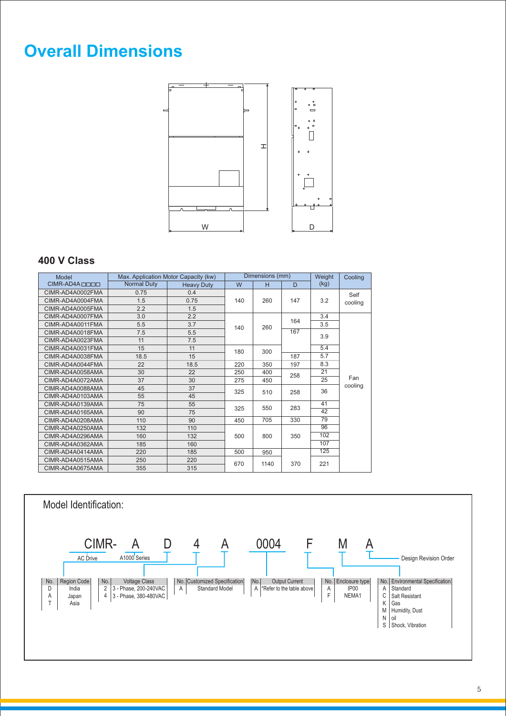### **Overall Dimensions**



### **400 V Class**

| Model                    |                    | Max. Application Motor Capacity (kw) |     | Dimensions (mm) |     | Weight | Cooling |
|--------------------------|--------------------|--------------------------------------|-----|-----------------|-----|--------|---------|
| CIMR-AD4A <sub>DDD</sub> | <b>Normal Duty</b> | <b>Heavy Duty</b>                    | W   | н               | D   | (kg)   |         |
| CIMR-AD4A0002FMA         | 0.75               | 0.4                                  |     |                 |     |        | Self    |
| CIMR-AD4A0004FMA         | 1.5                | 0.75                                 | 140 | 260             | 147 | 3.2    | cooling |
| CIMR-AD4A0005FMA         | 2.2                | 1.5                                  |     |                 |     |        |         |
| CIMR-AD4A0007FMA         | 3.0                | 2.2                                  |     |                 |     | 3.4    |         |
| CIMR-AD4A0011FMA         | 5.5                | 3.7                                  | 140 | 260             | 164 | 3.5    |         |
| CIMR-AD4A0018FMA         | 7.5                | 5.5                                  |     |                 | 167 | 3.9    |         |
| CIMR-AD4A0023FMA         | 11                 | 7.5                                  |     |                 |     |        |         |
| CIMR-AD4A0031FMA         | 15                 | 11                                   | 180 | 300             |     | 5.4    |         |
| CIMR-AD4A0038FMA         | 18.5               | 15                                   |     |                 | 187 | 5.7    |         |
| CIMR-AD4A0044FMA         | 22                 | 18.5                                 | 220 | 350             | 197 | 8.3    |         |
| CIMR-AD4A0058AMA         | 30                 | 22                                   | 250 | 400             | 258 | 21     |         |
| CIMR-AD4A0072AMA         | 37                 | 30                                   | 275 | 450             |     | 25     | Fan     |
| CIMR-AD4A0088AMA         | 45                 | 37                                   | 325 | 510             | 258 | 36     | cooling |
| CIMR-AD4A0103AMA         | 55                 | 45                                   |     |                 |     |        |         |
| CIMR-AD4A0139AMA         | 75                 | 55                                   | 325 | 550             | 283 | 41     |         |
| CIMR-AD4A0165AMA         | 90                 | 75                                   |     |                 |     | 42     |         |
| CIMR-AD4A0208AMA         | 110                | 90                                   | 450 | 705             | 330 | 79     |         |
| CIMR-AD4A0250AMA         | 132                | 110                                  |     |                 |     | 96     |         |
| CIMR-AD4A0296AMA         | 160                | 132                                  | 500 | 800             | 350 | 102    |         |
| CIMR-AD4A0362AMA         | 185                | 160                                  |     |                 |     | 107    |         |
| CIMR-AD4A0414AMA         | 220                | 185                                  | 500 | 950             |     | 125    |         |
| CIMR-AD4A0515AMA         | 250                | 220                                  | 670 | 1140            | 370 | 221    |         |
| CIMR-AD4A0675AMA         | 355                | 315                                  |     |                 |     |        |         |